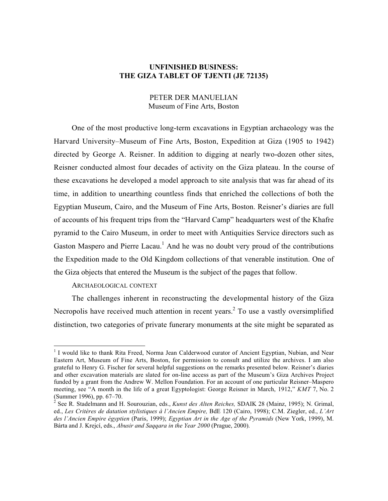## **UNFINISHED BUSINESS: THE GIZA TABLET OF TJENTI (JE 72135)**

# PETER DER MANUELIAN Museum of Fine Arts, Boston

One of the most productive long-term excavations in Egyptian archaeology was the Harvard University–Museum of Fine Arts, Boston, Expedition at Giza (1905 to 1942) directed by George A. Reisner. In addition to digging at nearly two-dozen other sites, Reisner conducted almost four decades of activity on the Giza plateau. In the course of these excavations he developed a model approach to site analysis that was far ahead of its time, in addition to unearthing countless finds that enriched the collections of both the Egyptian Museum, Cairo, and the Museum of Fine Arts, Boston. Reisner's diaries are full of accounts of his frequent trips from the "Harvard Camp" headquarters west of the Khafre pyramid to the Cairo Museum, in order to meet with Antiquities Service directors such as Gaston Maspero and Pierre Lacau.<sup>1</sup> And he was no doubt very proud of the contributions the Expedition made to the Old Kingdom collections of that venerable institution. One of the Giza objects that entered the Museum is the subject of the pages that follow.

# ARCHAEOLOGICAL CONTEXT

The challenges inherent in reconstructing the developmental history of the Giza Necropolis have received much attention in recent years.<sup>2</sup> To use a vastly oversimplified distinction, two categories of private funerary monuments at the site might be separated as

<sup>&</sup>lt;sup>1</sup> I would like to thank Rita Freed, Norma Jean Calderwood curator of Ancient Egyptian, Nubian, and Near Eastern Art, Museum of Fine Arts, Boston, for permission to consult and utilize the archives. I am also grateful to Henry G. Fischer for several helpful suggestions on the remarks presented below. Reisner's diaries and other excavation materials are slated for on-line access as part of the Museum's Giza Archives Project funded by a grant from the Andrew W. Mellon Foundation. For an account of one particular Reisner–Maspero meeting, see "A month in the life of a great Egyptologist: George Reisner in March, 1912," *KMT* 7, No. 2 (Summer 1996), pp. 67–70.

<sup>&</sup>lt;sup>2</sup> See R. Stadelmann and H. Sourouzian, eds., *Kunst des Alten Reiches*, SDAIK 28 (Mainz, 1995); N. Grimal, ed., *Les Critères de datation stylistiques à l'Ancien Empire,* BdE 120 (Cairo, 1998); C.M. Ziegler, ed., *L'Art des l'Ancien Empire égyptien* (Paris, 1999); *Egyptian Art in the Age of the Pyramids* (New York, 1999), M. Bárta and J. Krejcí, eds., *Abusir and Saqqara in the Year 2000* (Prague, 2000).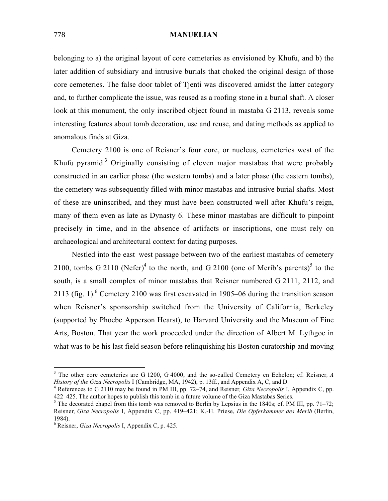belonging to a) the original layout of core cemeteries as envisioned by Khufu, and b) the later addition of subsidiary and intrusive burials that choked the original design of those core cemeteries. The false door tablet of Tjenti was discovered amidst the latter category and, to further complicate the issue, was reused as a roofing stone in a burial shaft. A closer look at this monument, the only inscribed object found in mastaba G 2113, reveals some interesting features about tomb decoration, use and reuse, and dating methods as applied to anomalous finds at Giza.

Cemetery 2100 is one of Reisner's four core, or nucleus, cemeteries west of the Khufu pyramid.<sup>3</sup> Originally consisting of eleven major mastabas that were probably constructed in an earlier phase (the western tombs) and a later phase (the eastern tombs), the cemetery was subsequently filled with minor mastabas and intrusive burial shafts. Most of these are uninscribed, and they must have been constructed well after Khufu's reign, many of them even as late as Dynasty 6. These minor mastabas are difficult to pinpoint precisely in time, and in the absence of artifacts or inscriptions, one must rely on archaeological and architectural context for dating purposes.

Nestled into the east–west passage between two of the earliest mastabas of cemetery 2100, tombs G 2110 (Nefer)<sup>4</sup> to the north, and G 2100 (one of Merib's parents)<sup>5</sup> to the south, is a small complex of minor mastabas that Reisner numbered G 2111, 2112, and 2113 (fig. 1).<sup>6</sup> Cemetery 2100 was first excavated in 1905–06 during the transition season when Reisner's sponsorship switched from the University of California, Berkeley (supported by Phoebe Apperson Hearst), to Harvard University and the Museum of Fine Arts, Boston. That year the work proceeded under the direction of Albert M. Lythgoe in what was to be his last field season before relinquishing his Boston curatorship and moving

<sup>&</sup>lt;sup>3</sup> The other core cemeteries are G 1200, G 4000, and the so-called Cemetery en Echelon; cf. Reisner, A History of the Giza Necropolis I (Cambridge, MA, 1942), p. 13ff., and Appendix A, C, and D.

<sup>&</sup>lt;sup>4</sup> References to G 2110 may be found in PM III, pp. 72–74, and Reisner, *Giza Necropolis* I, Appendix C, pp. 422–425. The author hopes to publish this tomb in a future volume of the Giza Mastabas Series.

 $<sup>5</sup>$  The decorated chapel from this tomb was removed to Berlin by Lepsius in the 1840s; cf. PM III, pp. 71–72;</sup> Reisner*, Giza Necropolis* I, Appendix C, pp. 419–421; K.-H. Priese, *Die Opferkammer des Merib* (Berlin, 1984).

<sup>6</sup> Reisner, *Giza Necropolis* I, Appendix C, p. 425.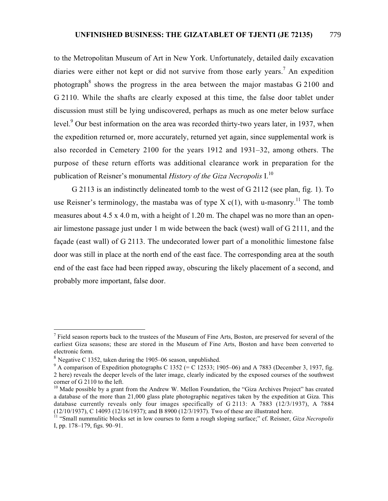to the Metropolitan Museum of Art in New York. Unfortunately, detailed daily excavation diaries were either not kept or did not survive from those early years.<sup>7</sup> An expedition photograph<sup>8</sup> shows the progress in the area between the major mastabas  $G\,2100$  and G 2110. While the shafts are clearly exposed at this time, the false door tablet under discussion must still be lying undiscovered, perhaps as much as one meter below surface level.<sup>9</sup> Our best information on the area was recorded thirty-two years later, in 1937, when the expedition returned or, more accurately, returned yet again, since supplemental work is also recorded in Cemetery 2100 for the years 1912 and 1931–32, among others. The purpose of these return efforts was additional clearance work in preparation for the publication of Reisner's monumental *History of the Giza Necropolis* I.10

G 2113 is an indistinctly delineated tomb to the west of G 2112 (see plan, fig. 1). To use Reisner's terminology, the mastaba was of type X  $c(1)$ , with u-masonry.<sup>11</sup> The tomb measures about 4.5 x 4.0 m, with a height of 1.20 m. The chapel was no more than an openair limestone passage just under 1 m wide between the back (west) wall of G 2111, and the façade (east wall) of G 2113. The undecorated lower part of a monolithic limestone false door was still in place at the north end of the east face. The corresponding area at the south end of the east face had been ripped away, obscuring the likely placement of a second, and probably more important, false door.

 $<sup>7</sup>$  Field season reports back to the trustees of the Museum of Fine Arts, Boston, are preserved for several of the</sup> earliest Giza seasons; these are stored in the Museum of Fine Arts, Boston and have been converted to electronic form.

<sup>8</sup> Negative C 1352, taken during the 1905–06 season, unpublished.

<sup>&</sup>lt;sup>9</sup> A comparison of Expedition photographs C 1352 (= C 12533; 1905–06) and A 7883 (December 3, 1937, fig. 2 here) reveals the deeper levels of the later image, clearly indicated by the exposed courses of the southwest corner of G 2110 to the left.

 $10$  Made possible by a grant from the Andrew W. Mellon Foundation, the "Giza Archives Project" has created a database of the more than 21,000 glass plate photographic negatives taken by the expedition at Giza. This database currently reveals only four images specifically of G 2113: A 7883 (12/3/1937), A 7884 (12/10/1937), C 14093 (12/16/1937); and B 8900 (12/3/1937). Two of these are illustrated here.

<sup>&</sup>lt;sup>11</sup> "Small nummulitic blocks set in low courses to form a rough sloping surface;" cf. Reisner, *Giza Necropolis* I, pp. 178–179, figs. 90–91.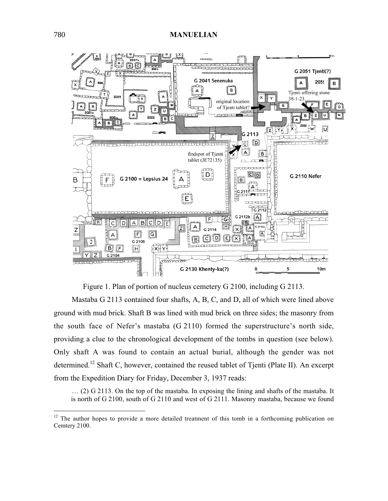

Figure 1. Plan of portion of nucleus cemetery G 2100, including G 2113.

Mastaba G 2113 contained four shafts, A, B, C, and D, all of which were lined above ground with mud brick. Shaft B was lined with mud brick on three sides; the masonry from the south face of Nefer's mastaba (G 2110) formed the superstructure's north side, providing a clue to the chronological development of the tombs in question (see below). Only shaft A was found to contain an actual burial, although the gender was not determined.<sup>12</sup> Shaft C, however, contained the reused tablet of Tjenti (Plate II). An excerpt from the Expedition Diary for Friday, December 3, 1937 reads:

… (2) G 2113. On the top of the mastaba. In exposing the lining and shafts of the mastaba. It is north of G 2100, south of G 2110 and west of G 2111. Masonry mastaba, because we found

<sup>&</sup>lt;sup>12</sup> The author hopes to provide a more detailed treatment of this tomb in a forthcoming publication on Cemtery 2100.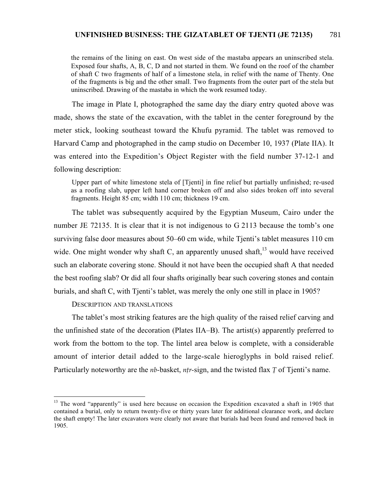the remains of the lining on east. On west side of the mastaba appears an uninscribed stela. Exposed four shafts, A, B, C, D and not started in them. We found on the roof of the chamber of shaft C two fragments of half of a limestone stela, in relief with the name of Thenty. One of the fragments is big and the other small. Two fragments from the outer part of the stela but uninscribed. Drawing of the mastaba in which the work resumed today.

The image in Plate I, photographed the same day the diary entry quoted above was made, shows the state of the excavation, with the tablet in the center foreground by the meter stick, looking southeast toward the Khufu pyramid. The tablet was removed to Harvard Camp and photographed in the camp studio on December 10, 1937 (Plate IIA). It was entered into the Expedition's Object Register with the field number 37-12-1 and following description:

Upper part of white limestone stela of [Tjenti] in fine relief but partially unfinished; re-used as a roofing slab, upper left hand corner broken off and also sides broken off into several fragments. Height 85 cm; width 110 cm; thickness 19 cm.

The tablet was subsequently acquired by the Egyptian Museum, Cairo under the number JE 72135. It is clear that it is not indigenous to G 2113 because the tomb's one surviving false door measures about 50–60 cm wide, while Tjenti's tablet measures 110 cm wide. One might wonder why shaft C, an apparently unused shaft, $^{13}$  would have received such an elaborate covering stone. Should it not have been the occupied shaft A that needed the best roofing slab? Or did all four shafts originally bear such covering stones and contain burials, and shaft C, with Tjenti's tablet, was merely the only one still in place in 1905?

DESCRIPTION AND TRANSLATIONS

The tablet's most striking features are the high quality of the raised relief carving and the unfinished state of the decoration (Plates IIA–B). The artist(s) apparently preferred to work from the bottom to the top. The lintel area below is complete, with a considerable amount of interior detail added to the large-scale hieroglyphs in bold raised relief. Particularly noteworthy are the *nb*-basket, *ntr*-sign, and the twisted flax *T* of Tienti's name.

 $13$  The word "apparently" is used here because on occasion the Expedition excavated a shaft in 1905 that contained a burial, only to return twenty-five or thirty years later for additional clearance work, and declare the shaft empty! The later excavators were clearly not aware that burials had been found and removed back in 1905.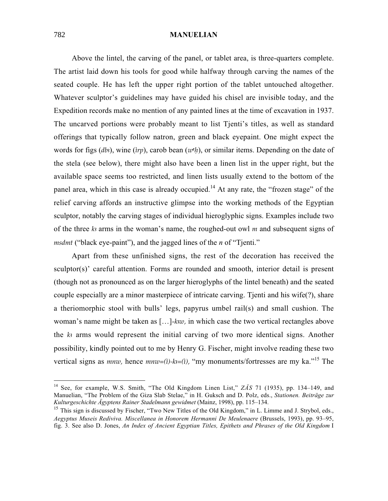Above the lintel, the carving of the panel, or tablet area, is three-quarters complete. The artist laid down his tools for good while halfway through carving the names of the seated couple. He has left the upper right portion of the tablet untouched altogether. Whatever sculptor's guidelines may have guided his chisel are invisible today, and the Expedition records make no mention of any painted lines at the time of excavation in 1937. The uncarved portions were probably meant to list Tjenti's titles, as well as standard offerings that typically follow natron, green and black eyepaint. One might expect the words for figs (*db*<sub>3</sub>), wine (*irp*), carob bean (*w*<sup>*th*</sup>), or similar items. Depending on the date of the stela (see below), there might also have been a linen list in the upper right, but the available space seems too restricted, and linen lists usually extend to the bottom of the panel area, which in this case is already occupied.<sup>14</sup> At any rate, the "frozen stage" of the relief carving affords an instructive glimpse into the working methods of the Egyptian sculptor, notably the carving stages of individual hieroglyphic signs. Examples include two of the three *k<sub>2</sub>* arms in the woman's name, the roughed-out owl *m* and subsequent signs of *msdmt* ("black eye-paint"), and the jagged lines of the *n* of "Tjenti."

Apart from these unfinished signs, the rest of the decoration has received the sculptor(s)' careful attention. Forms are rounded and smooth, interior detail is present (though not as pronounced as on the larger hieroglyphs of the lintel beneath) and the seated couple especially are a minor masterpiece of intricate carving. Tjenti and his wife(?), share a theriomorphic stool with bulls' legs, papyrus umbel rail(s) and small cushion. The woman's name might be taken as [...]-*kxw*, in which case the two vertical rectangles above the *k<sub>3</sub>* arms would represent the initial carving of two more identical signs. Another possibility, kindly pointed out to me by Henry G. Fischer, might involve reading these two vertical signs as *mnw*, hence  $m n w = (i) - k = (i)$ , "my monuments/fortresses are my ka."<sup>15</sup> The

<sup>14</sup> See, for example, W.S. Smith, "The Old Kingdom Linen List," *ZÄS* 71 (1935), pp. 134–149, and Manuelian, "The Problem of the Giza Slab Stelae," in H. Guksch and D. Polz, eds., *Stationen. Beiträge zur Kulturgeschichte Ägyptens Rainer Stadelmann gewidmet* (Mainz, 1998), pp. 115–134.

<sup>&</sup>lt;sup>15</sup> This sign is discussed by Fischer, "Two New Titles of the Old Kingdom," in L. Limme and J. Strybol, eds., *Aegyptus Museis Rediviva. Miscellanea in Honorem Hermanni De Meulenaere* (Brussels, 1993), pp. 93–95, fig. 3. See also D. Jones, *An Index of Ancient Egyptian Titles, Epithets and Phrases of the Old Kingdom* I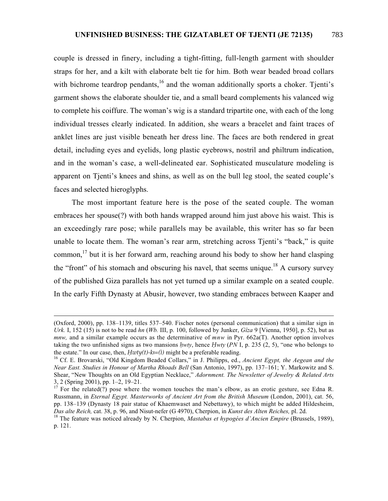couple is dressed in finery, including a tight-fitting, full-length garment with shoulder straps for her, and a kilt with elaborate belt tie for him. Both wear beaded broad collars with bichrome teardrop pendants, $16$  and the woman additionally sports a choker. Tienti's garment shows the elaborate shoulder tie, and a small beard complements his valanced wig to complete his coiffure. The woman's wig is a standard tripartite one, with each of the long individual tresses clearly indicated. In addition, she wears a bracelet and faint traces of anklet lines are just visible beneath her dress line. The faces are both rendered in great detail, including eyes and eyelids, long plastic eyebrows, nostril and philtrum indication, and in the woman's case, a well-delineated ear. Sophisticated musculature modeling is apparent on Tjenti's knees and shins, as well as on the bull leg stool, the seated couple's faces and selected hieroglyphs.

The most important feature here is the pose of the seated couple. The woman embraces her spouse(?) with both hands wrapped around him just above his waist. This is an exceedingly rare pose; while parallels may be available, this writer has so far been unable to locate them. The woman's rear arm, stretching across Tjenti's "back," is quite common, $^{17}$  but it is her forward arm, reaching around his body to show her hand clasping the "front" of his stomach and obscuring his navel, that seems unique.<sup>18</sup> A cursory survey of the published Giza parallels has not yet turned up a similar example on a seated couple. In the early Fifth Dynasty at Abusir, however, two standing embraces between Kaaper and

 $\overline{a}$ 

<sup>(</sup>Oxford, 2000), pp. 138–1139, titles 537–540. Fischer notes (personal communication) that a similar sign in *Urk.* I, 152 (15) is not to be read *hn* (*Wb.* III, p. 100, followed by Junker, *Gîza* 9 [Vienna, 1950], p. 52), but as *mnw,* and a similar example occurs as the determinative of *mnw* in Pyr. 662a(T). Another option involves taking the two unfinished signs as two mansions *¢wty*, hence *Ìwty* (*PN* I, p. 235 (2, 5), "one who belongs to the estate." In our case, then, *Hwty(t)-k* $=$ (*i*) might be a preferable reading.<br><sup>16</sup> Cf. E. Brovarski, "Old Kingdom Beaded Collars," in J. Philipps, ed., *Ancient Egypt, the Aegean and the* 

*Near East. Studies in Honour of Martha Rhoads Bell* (San Antonio, 1997), pp. 137–161; Y. Markowitz and S. Shear, "New Thoughts on an Old Egyptian Necklace," *Adornment. The Newsletter of Jewelry & Related Arts* 3, 2 (Spring 2001), pp. 1–2, 19–21.

<sup>17</sup> For the related(?) pose where the women touches the man's elbow, as an erotic gesture, see Edna R. Russmann, in *Eternal Egypt. Masterworks of Ancient Art from the British Museum* (London, 2001), cat. 56, pp. 138–139 (Dynasty 18 pair statue of Khaemwaset and Nebettawy), to which might be added Hildesheim, Das alte Reich, cat. 38, p. 96, and Nisut-nefer (G 4970), Cherpion, in Kunst des Alten Reiches, pl. 2d.<br><sup>18</sup> The feature was noticed already by N. Cherpion, *Mastabas et hypogées d'Ancien Empire* (Brussels, 1989),

p. 121.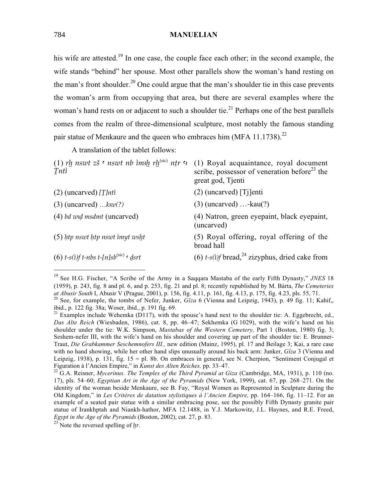his wife are attested.<sup>19</sup> In one case, the couple face each other; in the second example, the wife stands "behind" her spouse. Most other parallels show the woman's hand resting on the man's front shoulder.<sup>20</sup> One could argue that the man's shoulder tie in this case prevents the woman's arm from occupying that area, but there are several examples where the woman's hand rests on or adjacent to such a shoulder tie.<sup>21</sup> Perhaps one of the best parallels comes from the realm of three-dimensional sculpture, most notably the famous standing pair statue of Menkaure and the queen who embraces him (MFA 11.1738).<sup>22</sup>

A translation of the tablet follows:

| (1) rh nswt zš · nswt nb imsh rh <sup>(sic)</sup> ntr · (1) Royal acquaintance, royal document<br>scribe, possessor of veneration before <sup>23</sup> the<br>great god, Tienti |
|---------------------------------------------------------------------------------------------------------------------------------------------------------------------------------|
| $(2)$ (uncarved) [Tj]enti                                                                                                                                                       |
| $(3)$ (uncarved) -kau $(?)$                                                                                                                                                     |
| (4) Natron, green eyepaint, black eyepaint,<br>(uncarved)                                                                                                                       |
| (5) Royal offering, royal offering of the<br>broad hall                                                                                                                         |
| (6) $t-s(i)$ bread, $^{24}$ zizyphus, dried cake from                                                                                                                           |
|                                                                                                                                                                                 |

 <sup>19</sup> See H.G. Fischer, "A Scribe of the Army in a Saqqara Mastaba of the early Fifth Dynasty," *JNES* <sup>18</sup> (1959), p. 243, fig. 8 and pl. 6, and p. 253, fig. 21 and pl. 8; recently republished by M. Bárta, *The Cemeteries* <sup>20</sup> See, for example, the tombs of Nefer, Junker,  $Gîza 6$  (Vienna and Leipzig, 1943), p. 49 fig. 11; Kahif, ibid., p. 122 fig. 38a; Woser, ibid., p. 191 fig. 69.

<sup>&</sup>lt;sup>21</sup> Examples include Wehemka (D117), with the spouse's hand next to the shoulder tie: A. Eggebrecht, ed., *Das Alte Reich* (Wiesbaden, 1986), cat. 8, pp. 46–47; Sekhemka (G 1029), with the wife's hand on his shoulder under the tie: W.K. Simpson, *Mastabas of the Western Cemetery,* Part 1 (Boston, 1980) fig. 3; Seshem-nefer III, with the wife's hand on his shoulder and covering up part of the shoulder tie: E. Brunner-Traut, *Die Grabkammer Seschemnofers III.,* new edition (Mainz, 1995), pl. 17 and Beilage 3; Kai, a rare case with no hand showing, while her other hand slips unusually around his back arm: Junker, *Gîza* 3 (Vienna and Leipzig, 1938), p. 131, fig. 15 = pl. 8b. On embraces in general, see N. Cherpion, "Sentiment Conjugal et Figuration à l'Ancien Empire," in *Kunst des Alten Reiches,* pp. 33–47. <sup>22</sup> G.A. Reisner, *Mycerinus. The Temples of the Third Pyramid at Giza* (Cambridge, MA, 1931), p. 110 (no.

<sup>17),</sup> pls. 54–60; *Egyptian Art in the Age of the Pyramids* (New York, 1999), cat. 67, pp. 268–271. On the identity of the woman beside Menkaure, see B. Fay, "Royal Women as Represented in Sculpture during the Old Kingdom," in *Les Critères de datation stylistiques à l'Ancien Empire,* pp. 164–166, fig. 11–12. For an example of a seated pair statue with a similar embracing pose, see the possibly Fifth Dynasty granite pair statue of Irankhptah and Niankh-hathor, MFA 12.1488, in Y.J. Markowitz, J.L. Haynes, and R.E. Freed, *Egypt in the Age of the Pyramids* (Boston, 2002), cat. 27, p. 83.

<sup>&</sup>lt;sup>23</sup> Note the reversed spelling of *.*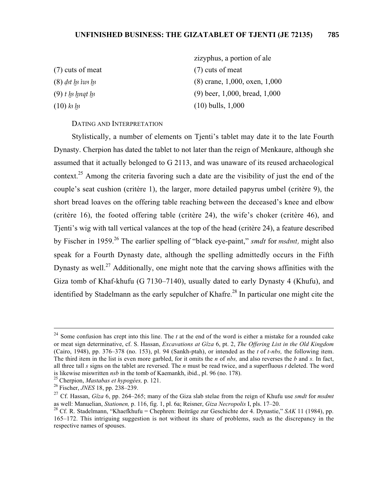- 
- 
- 

zizyphus, a portion of ale (7) cuts of meat (7) cuts of meat (8) *dst [n i tus [n i a ∞ i a ∞ i a ∞ i a ∞ i a ∞ i a ∞ i a ∞ i a ∞ i a ∞ i a ∞ i a ∞ i a ∞ i a ∞ i a ∞ i a ∞ i a ∞ i a ∞ i a ∞ i a ∞ i a ∞ i a ∞ i a ∞ i a ∞ i a ∞ i a ∞ i a ∞ i a ∞ i a ∞ i a ∞ i a ∞ i a ∞ i a ∞ i a ∞ i* (9) *t lp lp lmqt lp* (9) beer, 1,000, bread, 1,000  $(10)$  *k<sub>3</sub>*  $\mu$ <sub>3</sub>  $(10)$  bulls, 1,000

DATING AND INTERPRETATION

Stylistically, a number of elements on Tjenti's tablet may date it to the late Fourth Dynasty. Cherpion has dated the tablet to not later than the reign of Menkaure, although she assumed that it actually belonged to G 2113, and was unaware of its reused archaeological context.<sup>25</sup> Among the criteria favoring such a date are the visibility of just the end of the couple's seat cushion (critère 1), the larger, more detailed papyrus umbel (critère 9), the short bread loaves on the offering table reaching between the deceased's knee and elbow (critère 16), the footed offering table (critère 24), the wife's choker (critère 46), and Tjenti's wig with tall vertical valances at the top of the head (critère 24), a feature described by Fischer in 1959.26 The earlier spelling of "black eye-paint," *smdt* for *msdmt,* might also speak for a Fourth Dynasty date, although the spelling admittedly occurs in the Fifth Dynasty as well.<sup>27</sup> Additionally, one might note that the carving shows affinities with the Giza tomb of Khaf-khufu (G 7130–7140), usually dated to early Dynasty 4 (Khufu), and identified by Stadelmann as the early sepulcher of Khafre.<sup>28</sup> In particular one might cite the

<sup>&</sup>lt;sup>24</sup> Some confusion has crept into this line. The *t* at the end of the word is either a mistake for a rounded cake or meat sign determinative, cf. S. Hassan, *Excavations at Gîza* 6, pt. 2, *The Offering List in the Old Kingdom* (Cairo, 1948), pp. 376–378 (no. 153), pl. 94 (Sankh-ptah), or intended as the *t* of *t-nbs,* the following item. The third item in the list is even more garbled, for it omits the *n* of *nbs,* and also reverses the *b* and *s.* In fact, all three tall *s* signs on the tablet are reversed. The *n* must be read twice, and a superfluous *t* deleted. The word is likewise miswritten *nsb* in the tomb of Kaemankh, ibid., pl. 96 (no. 178). 25 Cherpion, *Mastabas et hypogées,* p. 121. 26 Fischer, *JNES* 18, pp. 238–239.

<sup>27</sup> Cf. Hassan, *Gîza* 6, pp. 264–265; many of the Giza slab stelae from the reign of Khufu use *smdt* for *msdmt*

<sup>&</sup>lt;sup>28</sup> Cf. R. Stadelmann, "Khaefkhufu = Chephren: Beiträge zur Geschichte der 4. Dynastie," *SAK* 11 (1984), pp. 165–172. This intriguing suggestion is not without its share of problems, such as the discrepancy in the respective names of spouses.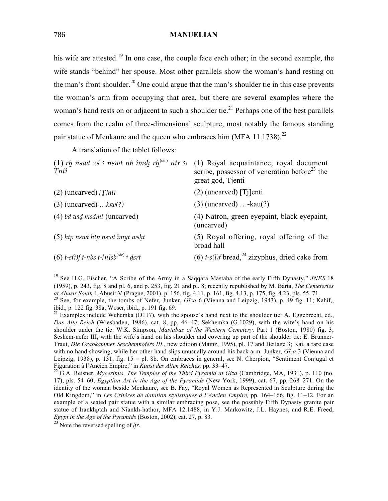his wife are attested.<sup>19</sup> In one case, the couple face each other; in the second example, the wife stands "behind" her spouse. Most other parallels show the woman's hand resting on the man's front shoulder.<sup>20</sup> One could argue that the man's shoulder tie in this case prevents the woman's arm from occupying that area, but there are several examples where the woman's hand rests on or adjacent to such a shoulder tie.<sup>21</sup> Perhaps one of the best parallels comes from the realm of three-dimensional sculpture, most notably the famous standing pair statue of Menkaure and the queen who embraces him (MFA 11.1738).<sup>22</sup>

A translation of the tablet follows:

| Tntì                                                            | (1) rh nswt zš $\epsilon$ nswt nb imsh rh <sup>(sic)</sup> ntr $\epsilon$ (1) Royal acquaintance, royal document<br>scribe, possessor of veneration before <sup>23</sup> the<br>great god, Tjenti |
|-----------------------------------------------------------------|---------------------------------------------------------------------------------------------------------------------------------------------------------------------------------------------------|
| $(2)$ (uncarved) [T]nti                                         | $(2)$ (uncarved) [Tj]enti                                                                                                                                                                         |
| $(3)$ (uncarved) $ksw(?)$                                       | $(3)$ (uncarved) - $kau(?)$                                                                                                                                                                       |
| $(4)$ bd wid msdmt (uncarved)                                   | (4) Natron, green eyepaint, black eyepaint,<br>(uncarved)                                                                                                                                         |
| $(5)$ htp nswt htp nswt imyt wsht                               | (5) Royal offering, royal offering of the<br>broad hall                                                                                                                                           |
| (6) $t-s(i)f$ t-nbs $t$ -[n]sb <sup>(sic)</sup> $\epsilon$ dsrt | (6) $t-s(i)$ bread, $^{24}$ zizyphus, dried cake from                                                                                                                                             |

 <sup>19</sup> See H.G. Fischer, "A Scribe of the Army in a Saqqara Mastaba of the early Fifth Dynasty," *JNES* <sup>18</sup> (1959), p. 243, fig. 8 and pl. 6, and p. 253, fig. 21 and pl. 8; recently republished by M. Bárta, *The Cemeteries* <sup>20</sup> See, for example, the tombs of Nefer, Junker,  $Gîza 6$  (Vienna and Leipzig, 1943), p. 49 fig. 11; Kahif, ibid., p. 122 fig. 38a; Woser, ibid., p. 191 fig. 69.

<sup>&</sup>lt;sup>21</sup> Examples include Wehemka (D117), with the spouse's hand next to the shoulder tie: A. Eggebrecht, ed., *Das Alte Reich* (Wiesbaden, 1986), cat. 8, pp. 46–47; Sekhemka (G 1029), with the wife's hand on his shoulder under the tie: W.K. Simpson, *Mastabas of the Western Cemetery,* Part 1 (Boston, 1980) fig. 3; Seshem-nefer III, with the wife's hand on his shoulder and covering up part of the shoulder tie: E. Brunner-Traut, *Die Grabkammer Seschemnofers III.,* new edition (Mainz, 1995), pl. 17 and Beilage 3; Kai, a rare case with no hand showing, while her other hand slips unusually around his back arm: Junker, *Gîza* 3 (Vienna and Leipzig, 1938), p. 131, fig. 15 = pl. 8b. On embraces in general, see N. Cherpion, "Sentiment Conjugal et Figuration à l'Ancien Empire," in *Kunst des Alten Reiches,* pp. 33–47. <sup>22</sup> G.A. Reisner, *Mycerinus. The Temples of the Third Pyramid at Giza* (Cambridge, MA, 1931), p. 110 (no.

<sup>17),</sup> pls. 54–60; *Egyptian Art in the Age of the Pyramids* (New York, 1999), cat. 67, pp. 268–271. On the identity of the woman beside Menkaure, see B. Fay, "Royal Women as Represented in Sculpture during the Old Kingdom," in *Les Critères de datation stylistiques à l'Ancien Empire,* pp. 164–166, fig. 11–12. For an example of a seated pair statue with a similar embracing pose, see the possibly Fifth Dynasty granite pair statue of Irankhptah and Niankh-hathor, MFA 12.1488, in Y.J. Markowitz, J.L. Haynes, and R.E. Freed, *Egypt in the Age of the Pyramids* (Boston, 2002), cat. 27, p. 83.

<sup>&</sup>lt;sup>23</sup> Note the reversed spelling of *.*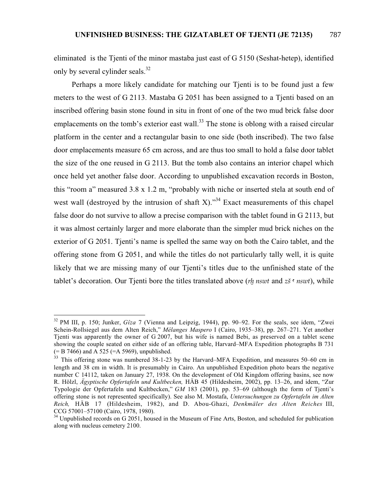eliminated is the Tjenti of the minor mastaba just east of G 5150 (Seshat-hetep), identified only by several cylinder seals.<sup>32</sup>

Perhaps a more likely candidate for matching our Tjenti is to be found just a few meters to the west of G 2113. Mastaba G 2051 has been assigned to a Tjenti based on an inscribed offering basin stone found in situ in front of one of the two mud brick false door emplacements on the tomb's exterior east wall.<sup>33</sup> The stone is oblong with a raised circular platform in the center and a rectangular basin to one side (both inscribed). The two false door emplacements measure 65 cm across, and are thus too small to hold a false door tablet the size of the one reused in G 2113. But the tomb also contains an interior chapel which once held yet another false door. According to unpublished excavation records in Boston, this "room a" measured 3.8 x 1.2 m, "probably with niche or inserted stela at south end of west wall (destroyed by the intrusion of shaft X). $334$  Exact measurements of this chapel false door do not survive to allow a precise comparison with the tablet found in G 2113, but it was almost certainly larger and more elaborate than the simpler mud brick niches on the exterior of G 2051. Tjenti's name is spelled the same way on both the Cairo tablet, and the offering stone from G 2051, and while the titles do not particularly tally well, it is quite likely that we are missing many of our Tjenti's titles due to the unfinished state of the tablet's decoration. Our Tjenti bore the titles translated above (*rh nswt* and *zš* ™ *nswt*), while

<sup>32</sup> PM III, p. 150; Junker, *Gîza* 7 (Vienna and Leipzig, 1944), pp. 90–92. For the seals, see idem, "Zwei Schein-Rollsiegel aus dem Alten Reich," *Mélanges Maspero* I (Cairo, 1935–38), pp. 267–271. Yet another Tjenti was apparently the owner of G 2007, but his wife is named Bebi, as preserved on a tablet scene showing the couple seated on either side of an offering table, Harvard–MFA Expedition photographs B 731  $(= B 7466)$  and A 525 (=A 5969), unpublished.

<sup>&</sup>lt;sup>33</sup> This offering stone was numbered 38-1-23 by the Harvard–MFA Expedition, and measures 50–60 cm in length and 38 cm in width. It is presumably in Cairo. An unpublished Expedition photo bears the negative number C 14112, taken on January 27, 1938. On the development of Old Kingdom offering basins, see now R. Hölzl, *Ägyptische Opfertafeln und Kultbecken,* HÄB 45 (Hildesheim, 2002), pp. 13–26, and idem, "Zur Typologie der Opfertafeln und Kultbecken," *GM* 183 (2001), pp. 53–69 (although the form of Tjenti's offering stone is not represented specifically). See also M. Mostafa, *Untersuchungen zu Opfertafeln im Alten Reich,* HÄB 17 (Hildesheim, 1982), and D. Abou-Ghazi, *Denkmäler des Alten Reiches* III, CCG 57001–57100 (Cairo, 1978, 1980).

<sup>&</sup>lt;sup>34</sup> Unpublished records on G 2051, housed in the Museum of Fine Arts, Boston, and scheduled for publication along with nucleus cemetery 2100.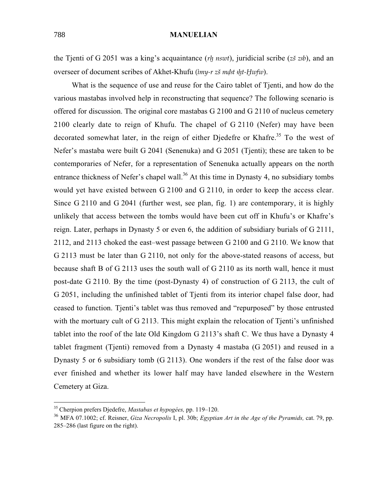the Tjenti of G 2051 was a king's acquaintance (*rh nswt*), juridicial scribe (*zš zib*), and an overseer of document scribes of Akhet-Khufu (*¡my-r zß m∂£t £∞t-Ówfw*).

What is the sequence of use and reuse for the Cairo tablet of Tienti, and how do the various mastabas involved help in reconstructing that sequence? The following scenario is offered for discussion. The original core mastabas G 2100 and G 2110 of nucleus cemetery 2100 clearly date to reign of Khufu. The chapel of G 2110 (Nefer) may have been decorated somewhat later, in the reign of either Djedefre or Khafre.<sup>35</sup> To the west of Nefer's mastaba were built G 2041 (Senenuka) and G 2051 (Tjenti); these are taken to be contemporaries of Nefer, for a representation of Senenuka actually appears on the north entrance thickness of Nefer's chapel wall.<sup>36</sup> At this time in Dynasty 4, no subsidiary tombs would yet have existed between G 2100 and G 2110, in order to keep the access clear. Since G 2110 and G 2041 (further west, see plan, fig. 1) are contemporary, it is highly unlikely that access between the tombs would have been cut off in Khufu's or Khafre's reign. Later, perhaps in Dynasty 5 or even 6, the addition of subsidiary burials of G 2111, 2112, and 2113 choked the east–west passage between G 2100 and G 2110. We know that G 2113 must be later than G 2110, not only for the above-stated reasons of access, but because shaft B of G 2113 uses the south wall of G 2110 as its north wall, hence it must post-date G 2110. By the time (post-Dynasty 4) of construction of G 2113, the cult of G 2051, including the unfinished tablet of Tjenti from its interior chapel false door, had ceased to function. Tjenti's tablet was thus removed and "repurposed" by those entrusted with the mortuary cult of G 2113. This might explain the relocation of Tienti's unfinished tablet into the roof of the late Old Kingdom G 2113's shaft C. We thus have a Dynasty 4 tablet fragment (Tjenti) removed from a Dynasty 4 mastaba (G 2051) and reused in a Dynasty 5 or 6 subsidiary tomb (G 2113). One wonders if the rest of the false door was ever finished and whether its lower half may have landed elsewhere in the Western Cemetery at Giza.

35 Cherpion prefers Djedefre, *Mastabas et hypogées,* pp. 119–120.

<sup>36</sup> MFA 07.1002; cf. Reisner, *Giza Necropolis* I, pl. 30b; *Egyptian Art in the Age of the Pyramids,* cat. 79, pp. 285–286 (last figure on the right).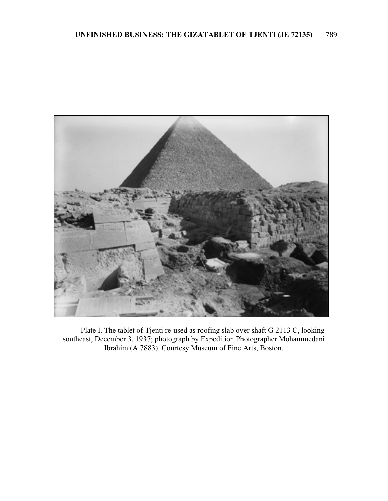

Plate I. The tablet of Tjenti re-used as roofing slab over shaft G 2113 C, looking southeast, December 3, 1937; photograph by Expedition Photographer Mohammedani Ibrahim (A 7883). Courtesy Museum of Fine Arts, Boston.